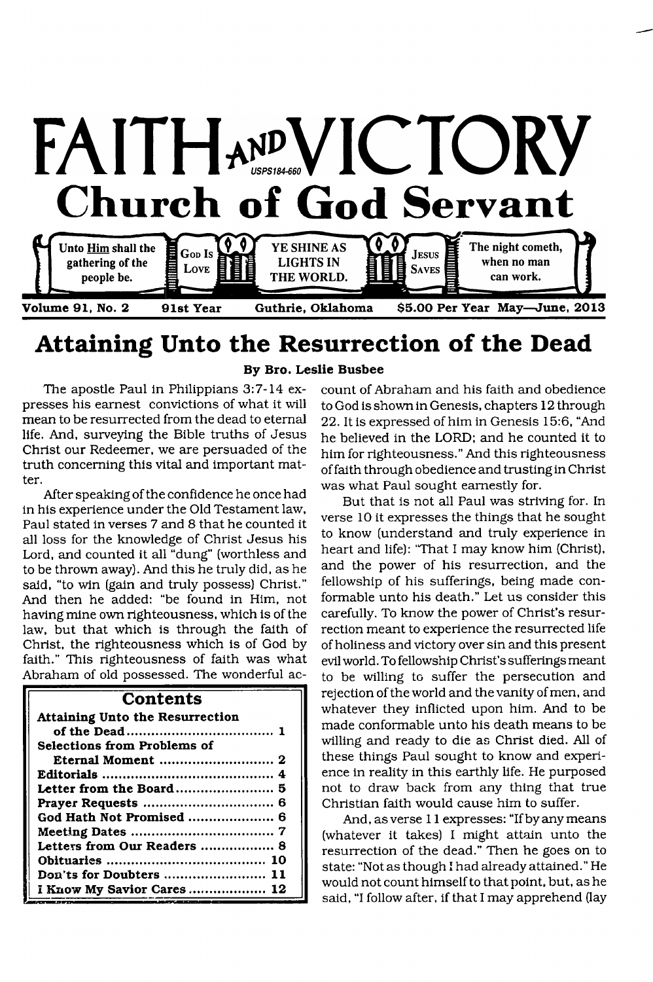

# **Attaining Unto the Resurrection of the Dead**

By Bro. Leslie Busbee

The apostle Paul in Philippians 3:7-14 expresses his earnest convictions of what it will mean to be resurrected from the dead to eternal life. And, surveying the Bible truths of Jesus Christ our Redeemer, we are persuaded of the truth concerning this vital and important matter.

After speaking of the confidence he once had in his experience under the Old Testament law, Paul stated in verses 7 and 8 that he counted it all loss for the knowledge of Christ Jesus his Lord, and counted it all "dung" (worthless and to be thrown away). And this he truly did, as he said, "to win (gain and truly possess) Christ." And then he added: "be found in Him, not having mine own righteousness, which is of the law, but that which is through the faith of Christ, the righteousness which is of God by faith." This righteousness of faith was what Abraham of old possessed. The wonderful ac-

| <b>Contents</b>                        |  |  |
|----------------------------------------|--|--|
| <b>Attaining Unto the Resurrection</b> |  |  |
|                                        |  |  |
| Selections from Problems of            |  |  |
|                                        |  |  |
|                                        |  |  |
|                                        |  |  |
|                                        |  |  |
|                                        |  |  |
|                                        |  |  |
| Letters from Our Readers  8            |  |  |
|                                        |  |  |
| Don'ts for Doubters  11                |  |  |
| I Know My Savior Cares  12             |  |  |

count of Abraham and his faith and obedience to God is shown in Genesis, chapters 12 through 22. It is expressed of him in Genesis 15:6, "And he believed in the LORD; and he counted it to him for righteousness." And this righteousness of faith through obedience and trusting in Christ was what Paul sought earnestly for.

But that is not all Paul was striving for. In verse 10 it expresses the things that he sought to know (understand and truly experience in heart and life): "That I may know him (Christ), and the power of his resurrection, and the fellowship of his sufferings, being made conformable unto his death." Let us consider this carefully. To know the power of Christ's resurrection meant to experience the resurrected life of holiness and victory over sin and this present evil world. To fellowship Christ's sufferings meant to be willing to suffer the persecution and rejection of the world and the vanity of men, and whatever they inflicted upon him. And to be made conformable unto his death means to be willing and ready to die as Christ died. All of these things Paul sought to know and experience in reality in this earthly life. He purposed not to draw back from any thing that true Christian faith would cause him to suffer.

And, as verse 11 expresses: "If by any means (whatever it takes) I might attain unto the resurrection of the dead." Then he goes on to state: "Not as though I had already attained." He would not count himself to that point, but, as he said, "I follow after, if that I may apprehend (lay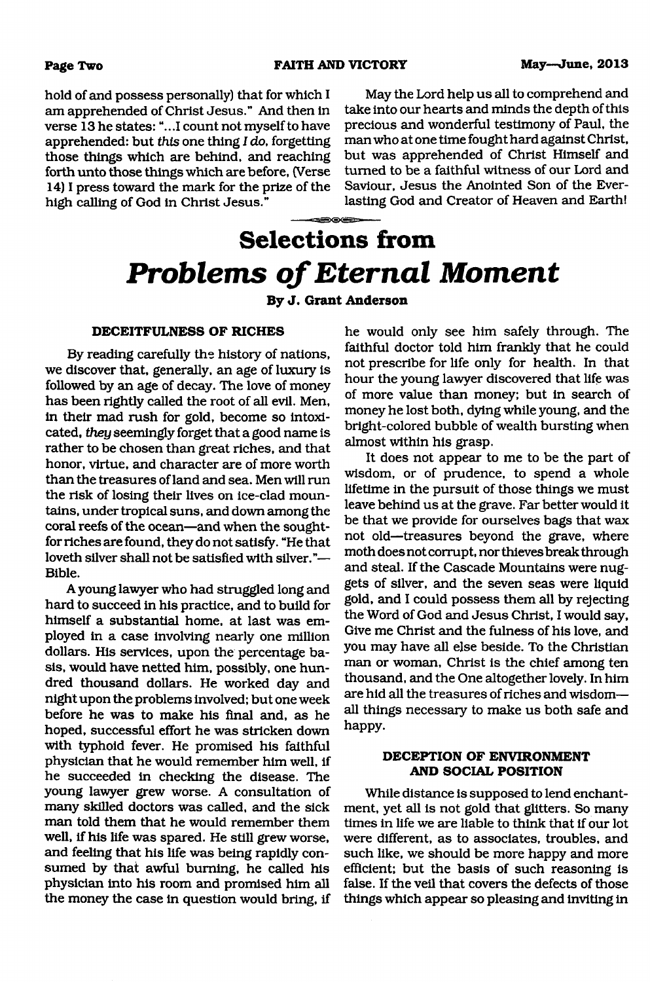## **Page Two FAITH AND VICTORY May—June, 2013**

hold of and possess personally) that for which I am apprehended of Christ Jesus." And then in verse 13 he states: "...I count not myself to have apprehended: but *this* one thing *I do,* forgetting those things which are behind, and reaching forth unto those things which are before, (Verse 14) I press toward the mark for the prize of the high calling of God in Christ Jesus."

May the Lord help us all to comprehend and take into our hearts and minds the depth of this precious and wonderful testimony of Paul, the man who at one time fought hard against Christ, but was apprehended of Christ Himself and turned to be a faithful witness of our Lord and Saviour, Jesus the Anointed Son of the Everlasting God and Creator of Heaven and Earth!

# **Selections from Problems of Eternal Moment**

**By J. Grant Anderson**

## **DECEITFULNESS OF RICHES**

By reading carefully the history of nations, we discover that, generally, an age of luxury is followed by an age of decay. The love of money has been rightly called the root of all evil. Men, in their mad rush for gold, become so intoxicated, *they* seemingly forget that a good name is rather to be chosen than great riches, and that honor, virtue, and character are of more worth than the treasures of land and sea. Men will run the risk of losing their lives on ice-clad mountains, under tropical suns, and down among the coral reefs of the ocean—and when the soughtfor riches are found, they do not satisfy. "He that loveth silver shall not be satisfied with silver."— Bible.

A young lawyer who had struggled long and hard to succeed in his practice, and to build for himself a substantial home, at last was employed in a case involving nearly one million dollars. His services, upon the percentage basis, would have netted him, possibly, one hundred thousand dollars. He worked day and night upon the problems involved; but one week before he was to make his final and, as he hoped, successful effort he was stricken down with typhoid fever. He promised his faithful physician that he would remember him well, if he succeeded in checking the disease. The young lawyer grew worse. A consultation of many skilled doctors was called, and the sick man told them that he would remember them well, if his life was spared. He still grew worse, and feeling that his life was being rapidly consumed by that awful burning, he called his physician into his room and promised him all the money the case in question would bring, if

he would only see him safely through. The faithful doctor told him frankly that he could not prescribe for life only for health. In that hour the young lawyer discovered that life was of more value than money; but in search of money he lost both, dying while young, and the bright-colored bubble of wealth bursting when almost within his grasp.

It does not appear to me to be the part of wisdom, or of prudence, to spend a whole lifetime in the pursuit of those things we must leave behind us at the grave. Far better would it be that we provide for ourselves bags that wax not old—treasures beyond the grave, where moth does not corrupt, nor thieves break through and steal. If the Cascade Mountains were nuggets of silver, and the seven seas were liquid gold, and I could possess them all by rejecting the Word of God and Jesus Christ, I would say, Give me Christ and the fulness of his love, and you may have all else beside. To the Christian man or woman, Christ is the chief among ten thousand, and the One altogether lovely. In him are hid all the treasures of riches and wisdom all things necessary to make us both safe and happy.

## **DECEPTION OF ENVIRONMENT AND SOCIAL POSITION**

While distance is supposed to lend enchantment, yet all is not gold that glitters. So many times in life we are liable to think that if our lot were different, as to associates, troubles, and such like, we should be more happy and more efficient; but the basis of such reasoning is false. If the veil that covers the defects of those things which appear so pleasing and inviting in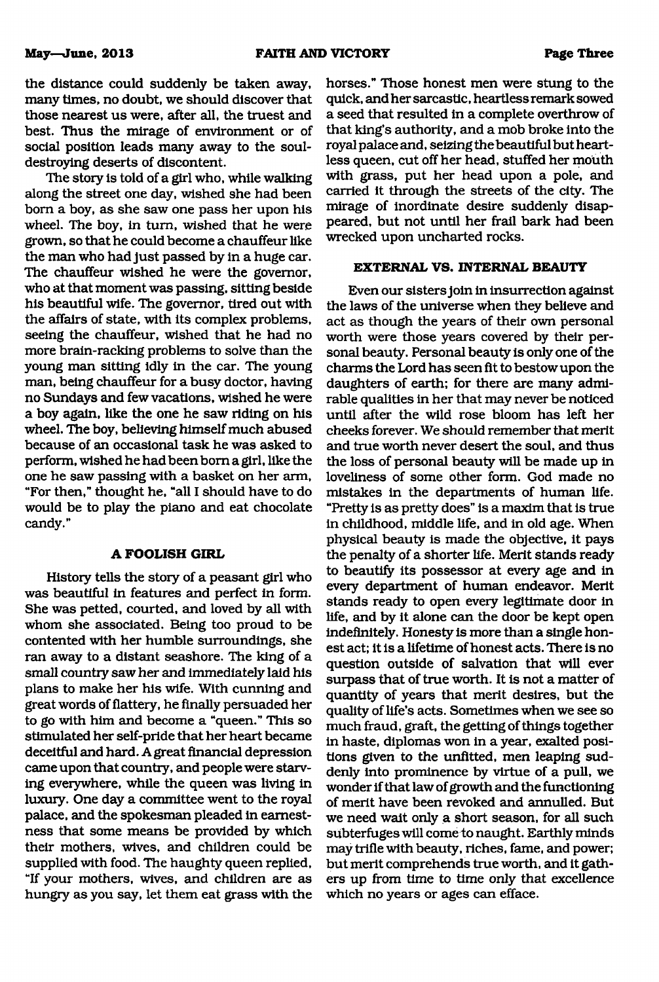the distance could suddenly be taken away, many times, no doubt, we should discover that those nearest us were, after all, the truest and best. Thus the mirage of environment or of social position leads many away to the souldestroying deserts of discontent.

The story is told of a girl who, while walking along the street one day, wished she had been bom a boy, as she saw one pass her upon his wheel. The boy, in turn, wished that he were grown, so that he could become a chauffeur like the man who had just passed by in a huge car. The chauffeur wished he were the governor, who at that moment was passing, sitting beside his beautiful wife. The governor, tired out with the affairs of state, with its complex problems, seeing the chauffeur, wished that he had no more brain-racking problems to solve than the young man sitting idly in the car. The young man, being chauffeur for a busy doctor, having no Sundays and few vacations, wished he were a boy again, like the one he saw riding on his wheel. The boy, believing himself much abused because of an occasional task he was asked to perform, wished he had been bom a girl, like the one he saw passing with a basket on her arm, "For then," thought he, "all I should have to do would be to play the piano and eat chocolate candy."

## **A FOOLISH GIRL**

History tells the story of a peasant girl who was beautiful in features and perfect in form. She was petted, courted, and loved by all with whom she associated. Being too proud to be contented with her humble surroundings, she ran away to a distant seashore. The king of a small country saw her and immediately laid his plans to make her his wife. With cunning and great words of flattery, he finally persuaded her to go with him and become a "queen." This so stimulated her self-pride that her heart became deceitful and hard. A great financial depression came upon that country, and people were starving everywhere, while the queen was living in luxury. One day a committee went to the royal palace, and the spokesman pleaded in earnestness that some means be provided by which their mothers, wives, and children could be supplied with food. The haughty queen replied, "If your mothers, wives, and children are as hungry as you say, let them eat grass with the horses." Those honest men were stung to the quick, and her sarcastic, heartless remark sowed a seed that resulted in a complete overthrow of that king's authority, and a mob broke into the royal palace and, seizing the beautiful but heartless queen, cut off her head, stuffed her mouth with grass, put her head upon a pole, and carried it through the streets of the city. The mirage of inordinate desire suddenly disappeared, but not until her frail bark had been wrecked upon uncharted rocks.

## **EXTERNAL VS. INTERNAL BEAUTY**

Even our sisters join in insurrection against the laws of the universe when they believe and act as though the years of their own personal worth were those years covered by their personal beauty. Personal beauty is only one of the charms the Lord has seen fit to bestow upon the daughters of earth; for there are many admirable qualities in her that may never be noticed until after the wild rose bloom has left her cheeks forever. We should remember that merit and true worth never desert the soul, and thus the loss of personal beauty will be made up in loveliness of some other form. God made no mistakes in the departments of human life. "Pretty is as pretty does" is a maxim that is true in childhood, middle life, and in old age. When physical beauty is made the objective, it pays the penalty of a shorter life. Merit stands ready to beautify its possessor at every age and in every department of human endeavor. Merit stands ready to open every legitimate door in life, and by it alone can the door be kept open indefinitely. Honesty is more than a single honest act; it is a lifetime of honest acts. There is no question outside of salvation that will ever surpass that of true worth. It is not a matter of quantity of years that merit desires, but the quality of life's acts. Sometimes when we see so much fraud, graft, the getting of things together in haste, diplomas won in a year, exalted positions given to the unfitted, men leaping suddenly into prominence by virtue of a pull, we wonder if that law of growth and the functioning of merit have been revoked and annulled. But we need wait only a short season, for all such subterfuges will come to naught. Earthly minds may trifle with beauty, riches, fame, and power; but merit comprehends true worth, and it gathers up from time to time only that excellence which no years or ages can efface.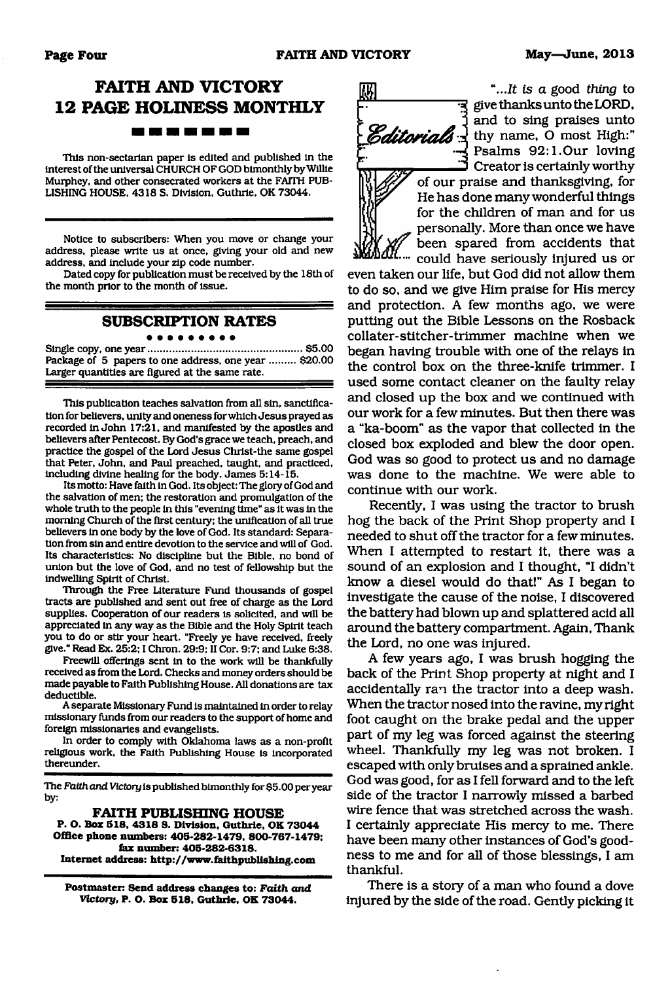## **FAITH AND VICTORY 12 PAGE HOLINESS MONTHLY** <u> 10 m m m m m</u>

This non-sectarian paper is edited and published In the interest of the universal CHURCH OF GOD bimonthly by Willie Murphey, and other consecrated workers at the FAITH PUB-LISHING HOUSE, 4318 S. Division. Guthrie. OK 73044.

Notice to subscribers: When you move or change your address, please write us at once, giving your old and new address, and include your zip code number.

Dated copy for publication must be received by the 18th of the month prior to the month of issue.

## **SUBSCRIPTION RATES**

#### . . . . . . . . .

Single copy, one year......................................................\$5.00 Package of 5 papers to one address, one year ......... \$20.00 Larger quantities are figured at the same rate.

This publication teaches salvation from all sin, sanctification for believers, unity and oneness for which Jesus prayed as recorded in John 17:21, and manifested by the apostles and believers after Pentecost. By God's grace we teach, preach, and practice the gospel of the Lord Jesus Christ-the same gospel that Peter, John, and Paul preached, taught, and practiced, including divine healing for the body. James 5:14-15.

Its motto: Have faith In God. Its object: The glory of God and the salvation of men; the restoration and promulgation of the whole truth to the people in this "evening time" as it was In the morning Church of the first century; the unification of all true believers in one body by the love of God. Its standard: Separation from sin and entire devotion to the service and will of God. Its characteristics: No discipline but the Bible, no bond of union but the love of God. and no test of fellowship but the Indwelling Spirit of Christ.

Through the Free Literature Fund thousands of gospel tracts are published and sent out free of charge as the Lord supplies. Cooperation of our readers is solicited, and will be appreciated In any way as the Bible and the Holy Spirit teach you to do or stir your heart. "Freely ye have received, freely give." Read Ex. 25:2; I Chron. 29:9; II Cor. 9:7; and Luke 6:38.

Freewill offerings sent In to the work will be thankfully received as from the Lord. Checks and money orders should be made payable to Faith Publishing House. All donations are tax deductible.

A separate Missionary Fund is maintained in order to relay missionary funds from our readers to the support of home and foreign missionaries and evangelists.

In order to comply with Oklahoma laws as a non-profit religious work, the Faith Publishing House is Incorporated thereunder.

The *Faith and Victory* Is published bimonthly for \$5.00 per year by:

## **FAITH PUBLISHING HOUSE**

**P. O. Box 518, 4318 S. Division, Guthrie, OK 73044 Office phone numbers: 405-282-1479, 800-767-1479; fax number: 405-282-6318. Internet address: <http://www.faithpublishing.com>**

**Postmaster: Send address changes to:** *Faith and Victory,* **P. O. Box 518, Guthrie, OK 73044.**



"...ft is *a* good *thing* to give thanks unto the LORD, and to sing praises unto Editorials I thy name, O most High:" Psalms 92:1.Our loving Creator is certainly worthy

> of our praise and thanksgiving, for He has done many wonderful things for the children of man and for us personally. More than once we have been spared from accidents that could have seriously injured us or

even taken our life, but God did not allow them to do so, and we give Him praise for His mercy and protection. A few months ago, we were putting out the Bible Lessons on the Rosback collater-stitcher-trimmer machine when we began having trouble with one of the relays in the control box on the three-knife trimmer. I used some contact cleaner on the faulty relay and closed up the box and we continued with our work for a few minutes. But then there was a "ka-boom" as the vapor that collected in the closed box exploded and blew the door open. God was so good to protect us and no damage was done to the machine. We were able to continue with our work.

Recently, I was using the tractor to brush hog the back of the Print Shop property and I needed to shut off the tractor for a few minutes. When I attempted to restart it, there was a sound of an explosion and I thought, "I didn't know a diesel would do that!" As I began to investigate the cause of the noise, I discovered the battery had blown up and splattered acid all around the battery compartment. Again, Thank the Lord, no one was injured.

A few years ago, I was brush hogging the back of the Print Shop property at night and I accidentally ran the tractor into a deep wash. When the tractor nosed into the ravine, my right foot caught on the brake pedal and the upper part of my leg was forced against the steering wheel. Thankfully my leg was not broken. I escaped with only bruises and a sprained ankle. God was good, for as I fell forward and to the left side of the tractor I narrowly missed a barbed wire fence that was stretched across the wash. I certainly appreciate His mercy to me. There have been many other instances of God's goodness to me and for all of those blessings, I am thankful.

There is a story of a man who found a dove injured by the side of the road. Gently picking it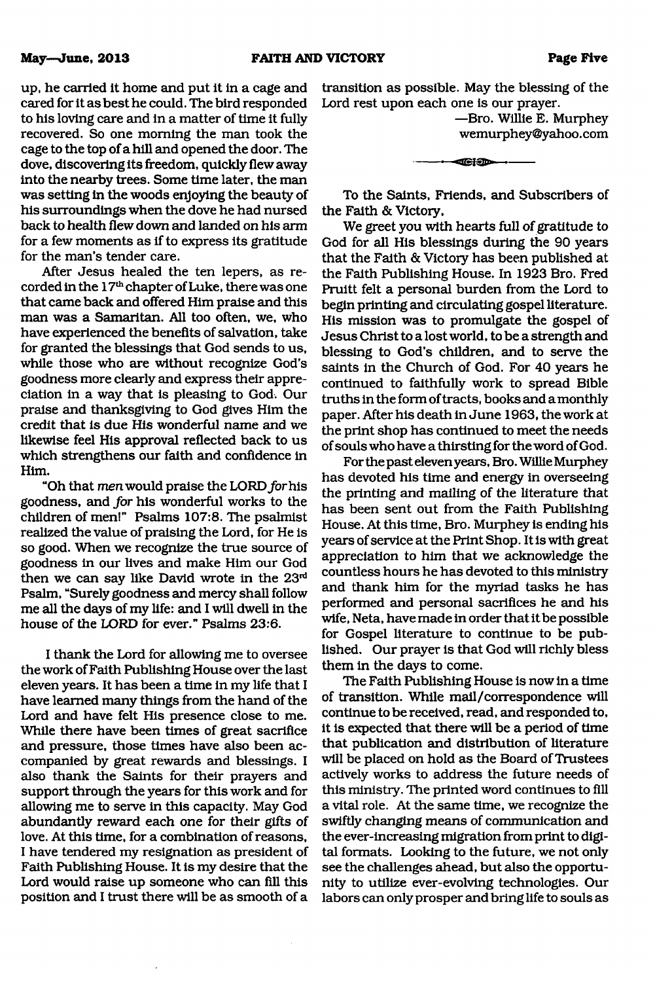up, he carried it home and put it in a cage and cared for it as best he could. The bird responded to his loving care and in a matter of time it fully recovered. So one morning the man took the cage to the top of a hill and opened the door. The dove, discovering its freedom, quickly flew away into the nearby trees. Some time later, the man was setting in the woods enjoying the beauty of his surroundings when the dove he had nursed back to health flew down and landed on his arm for a few moments as if to express its gratitude for the man's tender care.

After Jesus healed the ten lepers, as recorded in the 17<sup>th</sup> chapter of Luke, there was one that came back and offered Him praise and this man was a Samaritan. All too often, we, who have experienced the benefits of salvation, take for granted the blessings that God sends to us, while those who are without recognize God's goodness more clearly and express their appreciation in a way that is pleasing to God. Our praise and thanksgiving to God gives Him the credit that is due His wonderful name and we likewise feel His approval reflected back to us which strengthens our faith and confidence in Him.

"Oh that *men* would praise the LORD for his goodness, and *for* his wonderful works to the children of men!" Psalms 107:8. The psalmist realized the value of praising the Lord, for He is so good. When we recognize the true source of goodness in our lives and make Him our God then we can say like David wrote in the 23rd Psalm, "Surely goodness and mercy shall follow me all the days of my life: and I will dwell in the house of the LORD for ever." Psalms 23:6.

I thank the Lord for allowing me to oversee the work of Faith Publishing House over the last eleven years. It has been a time in my life that I have learned many things from the hand of the Lord and have felt His presence close to me. While there have been times of great sacrifice and pressure, those times have also been accompanied by great rewards and blessings. I also thank the Saints for their prayers and support through the years for this work and for allowing me to serve in this capacity. May God abundantly reward each one for their gifts of love. At this time, for a combination of reasons, I have tendered my resignation as president of Faith Publishing House. It is my desire that the Lord would raise up someone who can fill this position and I trust there will be as smooth of a transition as possible. May the blessing of the Lord rest upon each one is our prayer.

> —Bro. Willie E. Murphey wemurphey@yahoo. com

----- *•— — \**-----

To the Saints, Friends, and Subscribers of the Faith & Victory,

We greet you with hearts full of gratitude to God for all His blessings during the 90 years that the Faith & Victory has been published at the Faith Publishing House. In 1923 Bro. Fred Pruitt felt a personal burden from the Lord to begin printing and circulating gospel literature. His mission was to promulgate the gospel of Jesus Christ to a lost world, to be a strength and blessing to God's children, and to serve the saints in the Church of God. For 40 years he continued to faithfully work to spread Bible truths in the form of tracts, books and a monthly paper. After his death in June 1963, the work at the print shop has continued to meet the needs of souls who have a thirsting for the word of God.

For the past eleven years, Bro. Willie Murphey has devoted his time and energy in overseeing the printing and mailing of the literature that has been sent out from the Faith Publishing House. At this time, Bro. Murphey is ending his years of service at the Print Shop. It is with great appreciation to him that we acknowledge the countless hours he has devoted to this ministry and thank him for the myriad tasks he has performed and personal sacrifices he and his wife, Neta, have made in order that it be possible for Gospel literature to continue to be published. Our prayer is that God will richly bless them in the days to come.

The Faith Publishing House is now in a time of transition. While mail/correspondence will continue to be received, read, and responded to, it is expected that there will be a period of time that publication and distribution of literature will be placed on hold as the Board of Trustees actively works to address the future needs of this ministry. The printed word continues to fill a vital role. At the same time, we recognize the swiftly changing means of communication and the ever-increasing migration from print to digital formats. Looking to the future, we not only see the challenges ahead, but also the opportunity to utilize ever-evolving technologies. Our labors can only prosper and bring life to souls as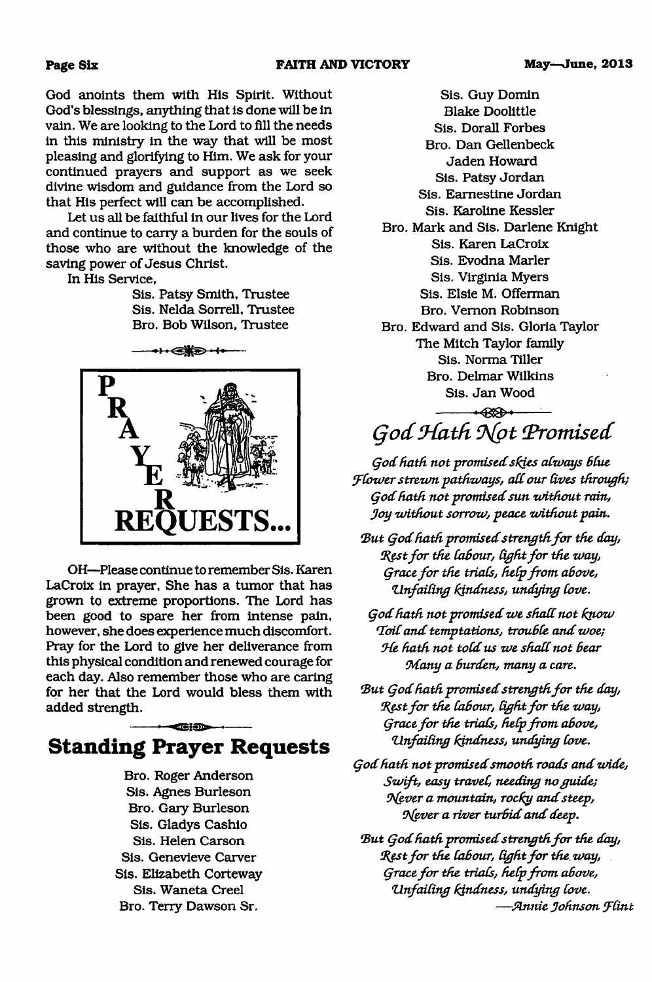## **Page Six FAITH AND VICTORY May—June, 2013**

God anoints them with His Spirit. Without God's blessings, anything that is done will be in vain. We are looking to the Lord to fill the needs in this ministry in the way that will be most pleasing and glorifying to Him. We ask for your continued prayers and support as we seek divine wisdom and guidance from the Lord so that His perfect will can be accomplished.

Let us all be faithful in our lives for the Lord and continue to carry a burden for the souls of those who are without the knowledge of the saving power of Jesus Christ.

In His Service,

Sis. Patsy Smith, Trustee Sis. Nelda Sorrell, Trustee Bro. Bob Wilson, Trustee



OH—Please continue to remember Sis. Karen LaCroix in prayer, She has a tumor that has grown to extreme proportions. The Lord has been good to spare her from intense pain, however, she does experience much discomfort. Pray for the Lord to give her deliverance from this physical condition and renewed courage for each day. Also remember those who are caring for her that the Lord would bless them with added strength.

## $\blacksquare$ **Standing Prayer Requests**

Bro. Roger Anderson Sis. Agnes Burleson Bro. Gary Burleson Sis. Gladys Cashio Sis. Helen Carson Sis. Genevieve Carver Sis. Elizabeth Corteway Sis. Waneta Creel Bro. Terry Dawson Sr.

Sis. Guy Domin Blake Doolittle Sis. Dorall Forbes Bro. Dan Gellenbeck Jaden Howard Sis. Patsy Jordan Sis. Eamestine Jordan Sis. Karoline Kessler Bro. Mark and Sis. Darlene Knight Sis. Karen LaCroix Sis. Evodna Marler Sis. Virginia Myers Sis. Elsie M. Offerman Bro. Vernon Robinson Bro. Edward and Sis. Gloria Taylor The Mitch Taylor family Sis. Norma Tiller Bro. Delmar Wilkins Sis. Jan Wood

## $-4350+$ God Hath Not Promised

*g od hath, not prom ised shies always Blue Flow er strezvn pathways, a ll our lives through; §oclhath not prom ised sun zvithout rain, Joy w ithout sorrow , peace zoithout pain.*

But God hath promised strength for the day, *Fes t fo r the labour, lig h t fo r the way, Qrace fo r the trials, help from above, U nfaihng hindness, undying love.*

God hath not promised we shall not know *F o il and tem ptations, trouble and woe; (He hath not told us we shall not bear tMany a burden, many a care.*

But God hath promised strength for the day, *F g s tfo r the labour, lig h t fo r the way, Grace for the trials, help from above, U n fa ilin g hindness, undying love.*

God hath not promised smooth roads and wide, *Szoift, easy travel, needing no guide; 9{ever a m ountain, rochy and steep, 9{ever a river turbid and deep.*

But God hath promised strength for the day, *Fes t fo r the labour, ligh t fo r the way, Grace for the trials, help from above, U n fa ilin g hindness, undying love. — Annie Johnson F lin t*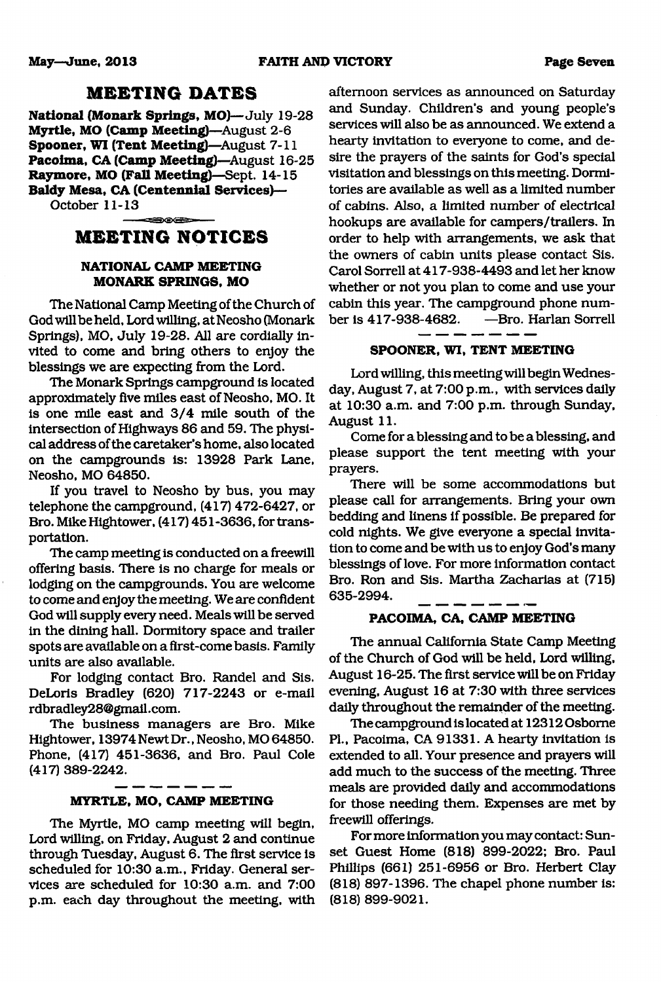## **M EETING DATES**

**National (Monark Springs, MO)**— July 19-28 **Myrtle, MO (Camp Meeting)**—August 2-6 **Spooner, WI (Tent Meeting)—August 7-11 Pacoima, CA (Camp Meeting)—**August 16-25 **Raymore, MO (Fall Meeting)**—Sept. 14-15 **Baldy Mesa, CA (Centennial Services)—** October 11-13

## ∋⊛⊕⇒ **M EETING NOTICES**

## **NATIONAL CAMP MEETING MONARK SPRINGS, MO**

The National Camp Meeting of the Church of God will be held, Lord willing, at Neosho (Monark Springs), MO, July 19-28. All are cordially invited to come and bring others to enjoy the blessings we are expecting from the Lord.

The Monark Springs campground is located approximately five miles east of Neosho, MO. It is one mile east and 3/4 mile south of the intersection of Highways 86 and 59. The physical address of the caretaker's home, also located on the campgrounds is: 13928 Park Lane, Neosho, MO 64850.

If you travel to Neosho by bus, you may telephone the campground, (417) 472-6427, or Bro. Mike Hightower, (417) 451-3636, for transportation.

The camp meeting is conducted on a freewill offering basis. There is no charge for meals or lodging on the campgrounds. You are welcome to come and enjoy the meeting. We are confident God will supply every need. Meals will be served in the dining hall. Dormitory space and trailer spots are available on a first-come basis. Family units are also available.

For lodging contact Bro. Randel and Sis. DeLoris Bradley (620) 717-2243 or e-mail [rdbradley28@gmail.com.](mailto:rdbradley28@gmail.com)

The business managers are Bro. Mike Hightower, 13974Newt Dr., Neosho, MO 64850. Phone, (417) 451-3636, and Bro. Paul Cole (417) 389-2242.

## **MYRTLE, MO, CAMP MEETING**

The Myrtle, MO camp meeting will begin, Lord willing, on Friday, August 2 and continue through Tuesday, August 6. The first service is scheduled for 10:30 a.m., Friday. General services are scheduled for 10:30 a.m. and 7:00 p.m. each day throughout the meeting, with afternoon services as announced on Saturday and Sunday. Children's and young people's services will also be as announced. We extend a hearty invitation to everyone to come, and desire the prayers of the saints for God's special visitation and blessings on this meeting. Dormitories are available as well as a limited number of cabins. Also, a limited number of electrical hookups are available for campers/trailers. In order to help with arrangements, we ask that the owners of cabin units please contact Sis. Carol Sorrell at 417-938-4493 and let her know whether or not you plan to come and use your cabin this year. The campground phone num-<br>ber is 417-938-4682. — Bro. Harlan Sorrell ber is 417-938-4682.

## **SPOONER, WI, TENT MEETING**

Lord willing, this meeting will begin Wednesday, August 7, at 7:00 p.m., with services daily at 10:30 a.m. and 7:00 p.m. through Sunday, August 11.

Come for a blessing and to be a blessing, and please support the tent meeting with your prayers.

There will be some accommodations but please call for arrangements. Bring your own bedding and linens if possible. Be prepared for cold nights. We give everyone a special invitation to come and be with us to enjoy God's many blessings of love. For more information contact Bro. Ron and Sis. Martha Zacharias at (715) 635-2994.

## **PACOIMA, CA, CAMP MEETING**

The annual California State Camp Meeting of the Church of God will be held, Lord willing, August 16-25. The first service will be on Friday evening, August 16 at 7:30 with three services daily throughout the remainder of the meeting.

The campground is located at 12312 Osborne PL, Pacoima, CA 91331. A hearty invitation is extended to all. Your presence and prayers will add much to the success of the meeting. Three meals are provided daily and accommodations for those needing them. Expenses are met by freewill offerings.

For more information you may contact: Sunset Guest Home (818) 899-2022; Bro. Paul Phillips (661) 251-6956 or Bro. Herbert Clay (818) 897-1396. The chapel phone number is: (818) 899-9021.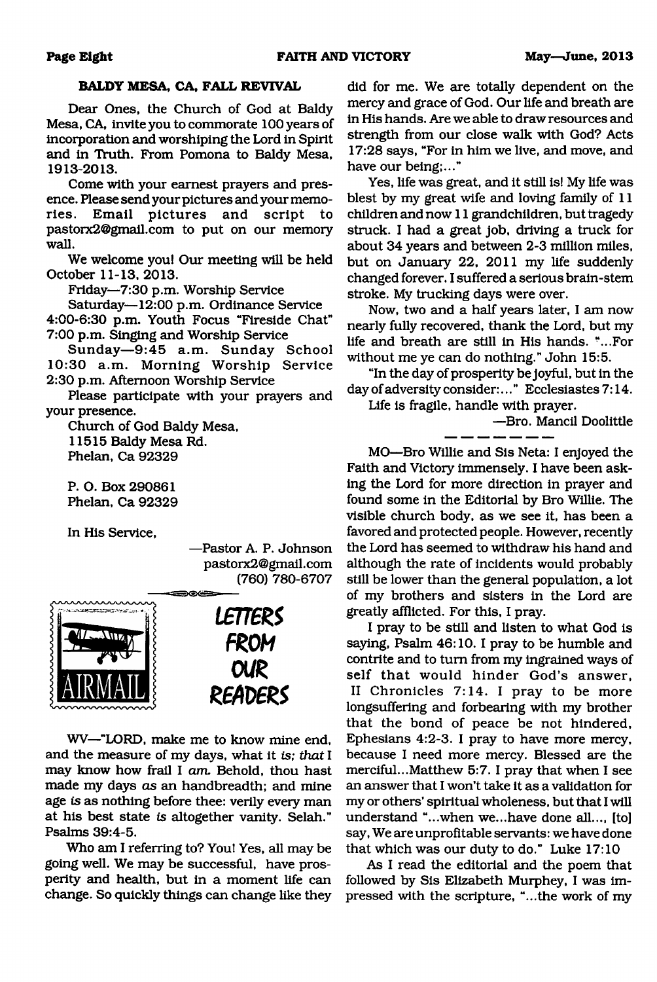### **BALDY MESA, CA, FALL REVIVAL**

Dear Ones, the Church of God at Baldy Mesa, CA, invite you to commorate 100 years of incorporation and worshiping the Lord in Spirit and in Truth. From Pomona to Baldy Mesa, 1913-2013.

Come with your earnest prayers and presence. Please send your pictures and your memories. Em ail pictures and script to [pastorx2@gmail.com](mailto:pastorx2@gmail.com) to put on our memory wall.

We welcome you! Our meeting will be held October 11-13, 2013.

Friday—7:30 p.m. Worship Service

Saturday— 12:00 p.m. Ordinance Service 4:00-6:30 p.m. Youth Focus "Fireside Chat" 7:00 p.m. Singing and Worship Service

Sunday-9:45 a.m. Sunday School 10:30 a.m. Morning Worship Service 2:30 p.m. Afternoon Worship Service

Please participate with your prayers and your presence.

Church of God Baldy Mesa, 11515 Baldy Mesa Rd. Phelan, Ca 92329

P. O. Box 290861 Phelan, Ca 92329

In His Service,

—Pastor A. P. Johnson [pastorx2@gmail.com](mailto:pastorx2@gmail.com) (760) 780-6707



WV—"LORD, make me to know mine end, and the measure of my days, what it *is; that* I may know how frail I am. Behold, thou hast made my days *as* an handbreadth; and mine age *is* as nothing before thee: verily every man at his best state *is* altogether vanity. Selah." Psalms 39:4-5.

Who am I referring to? You! Yes, all may be going well. We may be successful, have prosperity and health, but in a moment life can change. So quickly things can change like they

did for me. We *are* totally dependent on the mercy and grace of God. Our life and breath are in His hands. Are we able to draw resources and strength from our close walk with God? Acts 17:28 says, "For in him we live, and move, and have our being;..."

Yes, life was great, and it still is! My life was blest by my great wife and loving family of 11 children and now 11 grandchildren, but tragedy struck. I had a great job, driving a truck for about 34 years and between 2-3 million miles, but on January 22, 2011 my life suddenly changed forever. I suffered a serious brain-stem stroke. My trucking days were over.

Now, two and a half years later, I am now nearly fully recovered, thank the Lord, but my life and breath are still in His hands. "...For without me ye can do nothing." John 15:5.

"In the day of prosperity be joyful, but in the day of adversity consider:..." Ecclesiastes 7:14. Life is fragile, handle with prayer.

—Bro. Mancil Doolittle

MO—Bro Willie and Sis Neta: I enjoyed the Faith and Victory immensely. I have been asking the Lord for more direction in prayer and found some in the Editorial by Bro Willie. The visible church body, as we see it, has been a favored and protected people. However, recently the Lord has seemed to withdraw his hand and although the rate of incidents would probably still be lower than the general population, a lot of my brothers and sisters in the Lord are greatly afflicted. For this, I pray.

I pray to be still and listen to what God is saying, Psalm 46:10.1 pray to be humble and contrite and to turn from my ingrained ways of self that would hinder God's answer, II Chronicles 7:14. I pray to be more longsuffering and forbearing with my brother that the bond of peace be not hindered, Ephesians 4:2-3. I pray to have more mercy, because I need more mercy. Blessed are the merciful...Matthew 5:7. I pray that when I see an answer that I won't take it as a validation for my or others' spiritual wholeness, but that I will understand "...when we...have done all..., [to] say, We are unprofitable servants: we have done that which was our duty to do." Luke 17:10

As I read the editorial and the poem that followed by Sis Elizabeth Murphey, I was impressed with the scripture, "...the work of my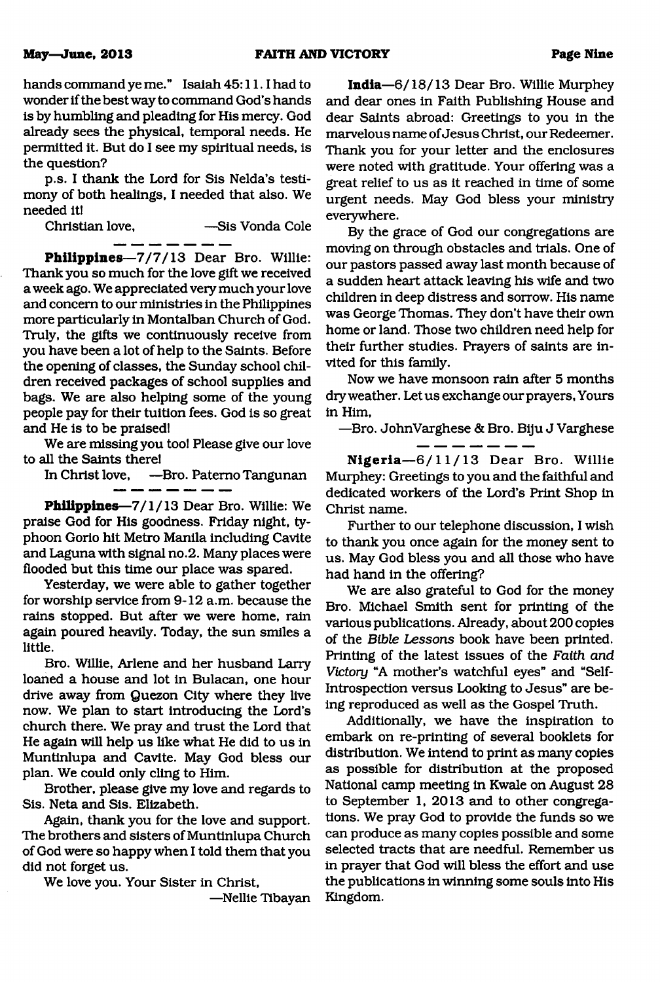hands command ye me." Isaiah 45:11.1 had to wonder if the best way to command God's hands is by humbling and pleading for His mercy. God already sees the physical, temporal needs. He permitted it. But do I see my spiritual needs, is the question?

p.s. I thank the Lord for Sis Nelda's testimony of both healings, I needed that also. We needed it!

Christian love. — Sis Vonda Cole

Philippines—7/7/13 Dear Bro. Willie: Thank you so much for the love gift we received a week ago. We appreciated very much your love and concern to our ministries in the Philippines more particularly in Montalban Church of God. Truly, the gifts we continuously receive from you have been a lot of help to the Saints. Before the opening of classes, the Sunday school children received packages of school supplies and bags. We are also helping some of the young people pay for their tuition fees. God is so great and He is to be praised!

We are missing you too! Please give our love to all the Saints there!

In Christ love, —Bro. Patemo Tangunan

Philippines—7/1/13 Dear Bro. Willie: We praise God for His goodness. Friday night, typhoon Gorio hit Metro Manila including Cavite and Laguna with signal no.2. Many places were flooded but this time our place was spared.

Yesterday, we were able to gather together for worship service from 9-12 a.m. because the rains stopped. But after we were home, rain again poured heavily. Today, the sun smiles a little.

Bro. Willie, Arlene and her husband Larry loaned a house and lot in Bulacan, one hour drive away from Quezon City where they live now. We plan to start introducing the Lord's church there. We pray and trust the Lord that He again will help us like what He did to us in Muntinlupa and Cavite. May God bless our plan. We could only cling to Him.

Brother, please give my love and regards to Sis. Neta and Sis. Elizabeth.

Again, thank you for the love and support. The brothers and sisters of Muntinlupa Church of God were so happy when I told them that you did not forget us.

We love you. Your Sister in Christ,

—Nellie Tibayan

**India**—6/18/13 Dear Bro. Willie Murphey and dear ones in Faith Publishing House and dear Saints abroad: Greetings to you in the marvelous name of Jesus Christ, our Redeemer. Thank you for your letter and the enclosures were noted with gratitude. Your offering was a great relief to us as it reached in time of some urgent needs. May God bless your ministry everywhere.

By the grace of God our congregations are moving on through obstacles and trials. One of our pastors passed away last month because of a sudden heart attack leaving his wife and two children in deep distress and sorrow. His name was George Thomas. They don't have their own home or land. Those two children need help for their further studies. Prayers of saints are invited for this family.

Now we have monsoon rain after 5 months dry weather. Let us exchange our prayers, Yours in Him,

—Bro. JohnVarghese & Bro. Biju J Varghese  $\cdot$ 

Nigeria-6/11/13 Dear Bro. Willie Murphey: Greetings to you and the faithful and dedicated workers of the Lord's Print Shop in Christ name.

Further to our telephone discussion, I wish to thank you once again for the money sent to us. May God bless you and all those who have had hand in the offering?

We are also grateful to God for the money Bro. Michael Smith sent for printing of the various publications. Already, about 200 copies of the *Bible Lessons* book have been printed. Printing of the latest issues of the *Faith and Victory* "A mother's watchful eyes" and "Self-Introspection versus Looking to Jesus" are being reproduced as well as the Gospel Truth.

Additionally, we have the inspiration to embark on re-printing of several booklets for distribution. We intend to print as many copies as possible for distribution at the proposed National camp meeting in Kwale on August 28 to September 1, 2013 and to other congregations. We pray God to provide the funds so we can produce as many copies possible and some selected tracts that are needful. Remember us in prayer that God will bless the effort and use the publications in winning some souls into His Kingdom.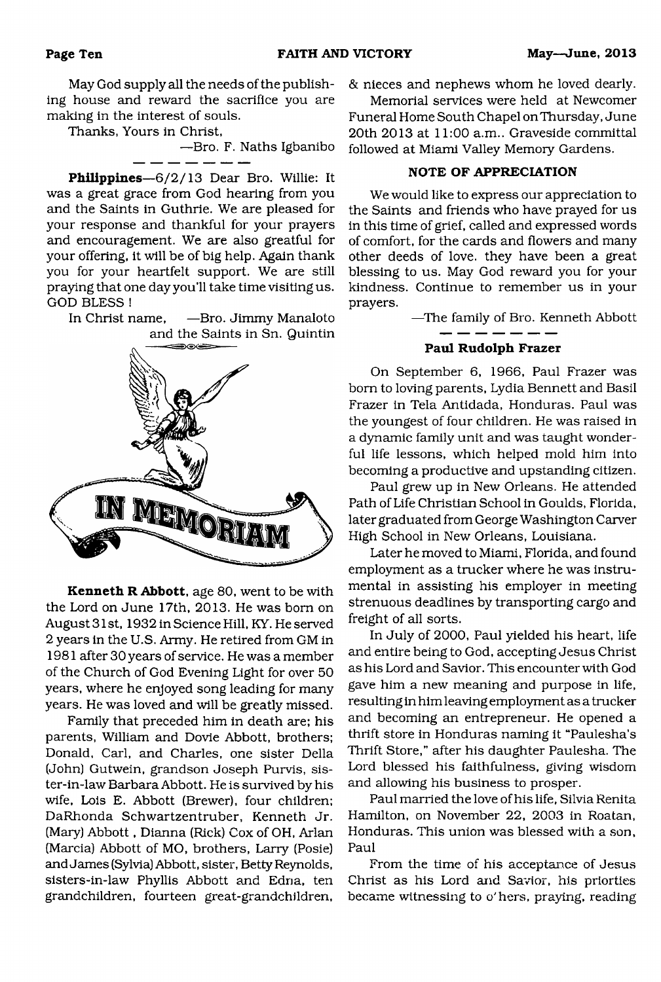May God supply all the needs of the publishing house and reward the sacrifice you are making in the interest of souls.

Thanks, Yours in Christ,

—Bro. F. Naths Igbanibo

Philippines—6/2/13 Dear Bro. Willie: It was a great grace from God hearing from you and the Saints in Guthrie. We are pleased for your response and thankful for your prayers and encouragement. We are also greatful for your offering, it will be of big help. Again thank you for your heartfelt support. We are still praying that one day you'll take time visiting us. GOD BLESS !

In Christ name, —Bro. Jimmy Manaloto and the Saints in Sn. Quintin



Kenneth R Abbott, age 80, went to be with the Lord on June 17th, 2013. He was bom on August 31st, 1932 in Science Hill, KY. He served 2 years in the U.S. Army. He retired from GM in 1981 after 30 years of service. He was a member of the Church of God Evening Light for over 50 years, where he enjoyed song leading for many years. He was loved and will be greatly missed.

Family that preceded him in death are; his parents, William and Dovie Abbott, brothers; Donald, Carl, and Charles, one sister Della (John) Gutwein, grandson Joseph Purvis, sister-in-law Barbara Abbott. He is survived by his wife, Lois E. Abbott (Brewer), four children; DaRhonda Schwartzentruber, Kenneth Jr. (Mary) Abbott, Dianna (Rick) Cox of OH, Arlan (Marcia) Abbott of MO, brothers, Larry (Posie) and James (Sylvia) Abbott, sister, Betty Reynolds, sisters-in-law Phyllis Abbott and Edna, ten grandchildren, fourteen great-grandchildren,

& nieces and nephews whom he loved dearly.

Memorial services were held at Newcomer Funeral Home South Chapel on Thursday, June 20th 2013 at 11:00 a.m.. Graveside committal followed at Miami Valley Memory Gardens.

## NOTE OF APPRECIATION

We would like to express our appreciation to the Saints and friends who have prayed for us in this time of grief, called and expressed words of comfort, for the cards and flowers and many other deeds of love, they have been a great blessing to us. May God reward you for your kindness. Continue to remember us in your prayers.

—The family of Bro. Kenneth Abbott

#### Paul Rudolph Frazer

On September 6, 1966, Paul Frazer was bom to loving parents, Lydia Bennett and Basil Frazer in Tela Antidada, Honduras. Paul was the youngest of four children. He was raised in a dynamic family unit and was taught wonderful life lessons, which helped mold him into becoming a productive and upstanding citizen.

Paul grew up in New Orleans. He attended Path of Life Christian School in Goulds, Florida, later graduated from George Washington Carver High School in New Orleans, Louisiana.

Later he moved to Miami, Florida, and found employment as a trucker where he was instrumental in assisting his employer in meeting strenuous deadlines by transporting cargo and freight of all sorts.

In July of 2000, Paul yielded his heart, life and entire being to God, accepting Jesus Christ as his Lord and Savior. This encounter with God gave him a new meaning and purpose in life, resulting in him leaving employment as a trucker and becoming an entrepreneur. He opened a thrift store in Honduras naming it "Paulesha's Thrift Store," after his daughter Paulesha. The Lord blessed his faithfulness, giving wisdom and allowing his business to prosper.

Paul married the love of his life, Silvia Renita Hamilton, on November 22, 2003 in Roatan, Honduras. This union was blessed with a son, Paul

From the time of his acceptance of Jesus Christ as his Lord and Savior, his priorties became witnessing to o'hers, praying, reading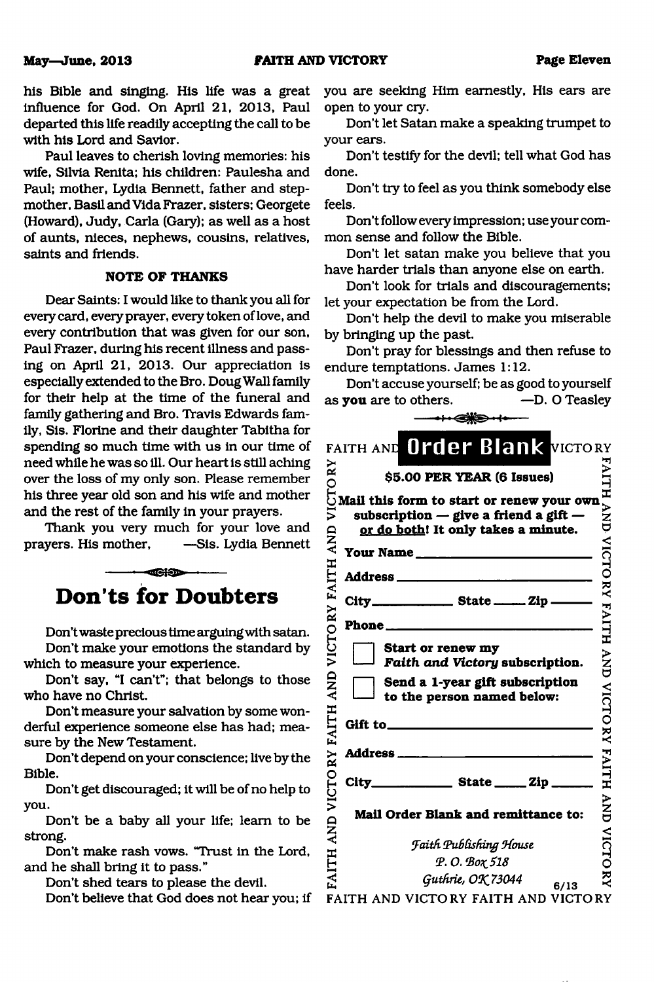his Bible and singing. His life was a great influence for God. On April 21, 2013, Paul departed this life readily accepting the call to be with his Lord and Savior.

Paul leaves to cherish loving memories: his wife, Silvia Renita; his children: Paulesha and Paul; mother, Lydia Bennett, father and stepmother, Basil and Vida Frazer, sisters; Georgete (Howard), Judy, Carla (Gary); as well as a host of aunts, nieces, nephews, cousins, relatives, saints and friends.

## **NOTE OF THANKS**

Dear Saints: I would like to thank you all for every card, every prayer, every token of love, and every contribution that was given for our son, Paul Frazer, during his recent illness and passing on April 21, 2013. Our appreciation is especially extended to the Bro. Doug Wall family for their help at the time of the funeral and family gathering and Bro. Travis Edwards family, Sis. Florine and their daughter Tabitha for spending so much time with us in our time of need while he was so ill. Our heart is still aching over the loss of my only son. Please remember his three year old son and his wife and mother and the rest of the family in your prayers.

Thank you very much for your love and prayers. His mother, —Sis. Lydia Bennett

## $-$ **defense Don'ts for Doubters**

Don't waste precious time arguing with satan. Don't make your emotions the standard by which to measure your experience.

Don't say, "I can't"; that belongs to those who have no Christ.

Don't measure your salvation by some wonderful experience someone else has had; measure by the New Testament.

Don't depend on your conscience; live by the Bible.

Don't get discouraged; it will be of no help to you.

Don't be a baby all your life; learn to be strong.

Don't make rash vows. "Trust in the Lord, and he shall bring it to pass."

Don't shed tears to please the devil.

Don't believe that God does not hear you; if

you are seeking Him earnestly, His ears are open to your cry.

Don't let Satan make a speaking trumpet to your ears.

Don't testify for the devil; tell what God has done.

Don't try to feel as you think somebody else feels.

Don't follow every impression; use your common sense and follow the Bible.

Don't let satan make you believe that you have harder trials than anyone else on earth.

Don't look for trials and discouragements; let your expectation be from the Lord.

Don't help the devil to make you miserable by bringing up the past.

Don't pray for blessings and then refuse to endure temptations. James 1:12.

Don't accuse yourself; be as good to yourself

|                       | as <b>you</b> are to others.<br>-D. O Teasley                                                                                 |                          |
|-----------------------|-------------------------------------------------------------------------------------------------------------------------------|--------------------------|
|                       | ↔←                                                                                                                            |                          |
| $\mathbf{R}^{\prime}$ | FAITH AND Order Blank VICTORY<br>\$5.00 PER YEAR (6 Issues)                                                                   | AITH                     |
| VICTO                 | Mail this form to start or renew your own<br>subscription $-$ give a friend a gift $-$<br>or do both! It only takes a minute. | <b>AND VICTORY FAITH</b> |
|                       | Your Name                                                                                                                     |                          |
|                       |                                                                                                                               |                          |
|                       | City__________________ State _______ Zip ______                                                                               |                          |
|                       |                                                                                                                               |                          |
| VICTORY FAITH AND     | Start or renew my<br>Faith and Victory subscription.                                                                          |                          |
| <b>AND</b>            | Send a 1-year gift subscription<br>to the person named below:                                                                 | <b>AND VICTORY</b>       |
|                       | Gift to $\qquad \qquad$                                                                                                       |                          |
| <b>FAITH</b>          |                                                                                                                               |                          |
|                       | City____________________ State _______ Zip ________                                                                           | <b>FAITH AND</b>         |
| <b>AND VICTORY</b>    | Mail Order Blank and remittance to:                                                                                           |                          |
|                       | <b>Faith Publishing House</b>                                                                                                 |                          |
| FAITH                 | P.O. Box 518                                                                                                                  | <b>VICTORY</b>           |
|                       | Guthrie, OK 73044<br>6/13                                                                                                     |                          |
|                       | FAITH AND VICTORY FAITH AND VICTORY                                                                                           |                          |